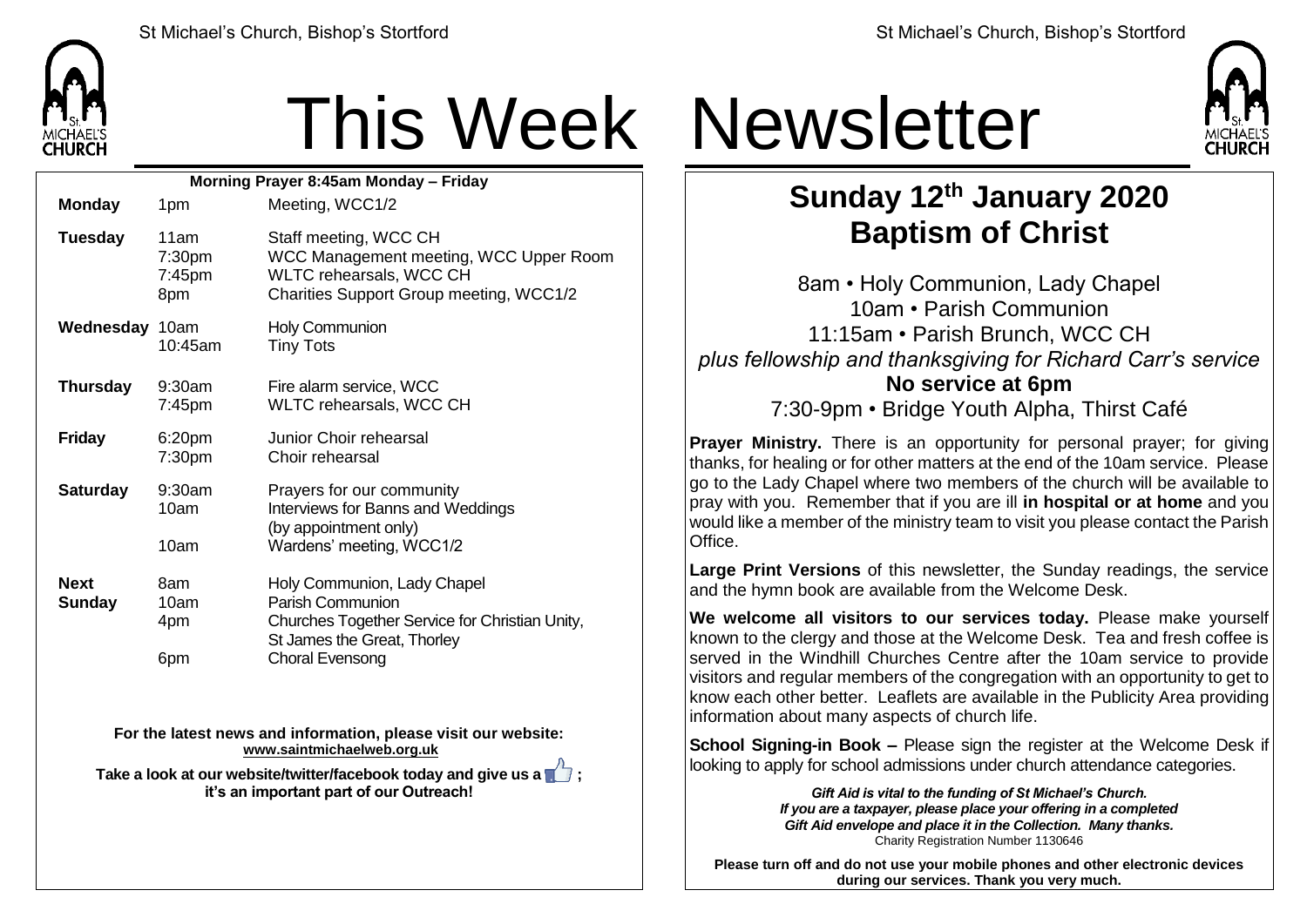

## This Week Newsletter

| Morning Prayer 8:45am Monday - Friday |                                             |                                                                                                                                       |  |  |
|---------------------------------------|---------------------------------------------|---------------------------------------------------------------------------------------------------------------------------------------|--|--|
| <b>Monday</b>                         | 1pm                                         | Meeting, WCC1/2                                                                                                                       |  |  |
| <b>Tuesday</b>                        | 11am<br>7:30 <sub>pm</sub><br>7:45pm<br>8pm | Staff meeting, WCC CH<br>WCC Management meeting, WCC Upper Room<br>WLTC rehearsals, WCC CH<br>Charities Support Group meeting, WCC1/2 |  |  |
| Wednesday 10am                        | 10:45am                                     | <b>Holy Communion</b><br><b>Tiny Tots</b>                                                                                             |  |  |
| <b>Thursday</b>                       | $9:30$ am<br>7:45pm                         | Fire alarm service, WCC<br>WLTC rehearsals, WCC CH                                                                                    |  |  |
| <b>Friday</b>                         | 6:20pm<br>7:30pm                            | Junior Choir rehearsal<br>Choir rehearsal                                                                                             |  |  |
| <b>Saturday</b>                       | $9:30$ am<br>10am                           | Prayers for our community<br>Interviews for Banns and Weddings<br>(by appointment only)                                               |  |  |
|                                       | 10am                                        | Wardens' meeting, WCC1/2                                                                                                              |  |  |
| <b>Next</b><br><b>Sunday</b>          | 8am<br>10am<br>4pm                          | Holy Communion, Lady Chapel<br>Parish Communion<br>Churches Together Service for Christian Unity,<br>St James the Great, Thorley      |  |  |
|                                       | 6pm                                         | <b>Choral Evensong</b>                                                                                                                |  |  |

**For the latest news and information, please visit our website: [www.saintmichaelweb.org.uk](http://www.saintmichaelweb.org.uk/)**

**Take a look at our website/twitter/facebook today and give us a**  $\blacksquare$ **: it's an important part of our Outreach!**



## **Sunday 12th January 2020 Baptism of Christ**

8am • Holy Communion, Lady Chapel 10am • Parish Communion 11:15am • Parish Brunch, WCC CH *plus fellowship and thanksgiving for Richard Carr's service* **No service at 6pm**

7:30-9pm • Bridge Youth Alpha, Thirst Café

**Prayer Ministry.** There is an opportunity for personal prayer; for giving thanks, for healing or for other matters at the end of the 10am service. Please go to the Lady Chapel where two members of the church will be available to pray with you. Remember that if you are ill **in hospital or at home** and you would like a member of the ministry team to visit you please contact the Parish Office.

**Large Print Versions** of this newsletter, the Sunday readings, the service and the hymn book are available from the Welcome Desk.

**We welcome all visitors to our services today.** Please make yourself known to the clergy and those at the Welcome Desk. Tea and fresh coffee is served in the Windhill Churches Centre after the 10am service to provide visitors and regular members of the congregation with an opportunity to get to know each other better. Leaflets are available in the Publicity Area providing information about many aspects of church life.

**School Signing-in Book –** Please sign the register at the Welcome Desk if looking to apply for school admissions under church attendance categories.

> *Gift Aid is vital to the funding of St Michael's Church. If you are a taxpayer, please place your offering in a completed Gift Aid envelope and place it in the Collection. Many thanks.* Charity Registration Number 1130646

**Please turn off and do not use your mobile phones and other electronic devices during our services. Thank you very much.**